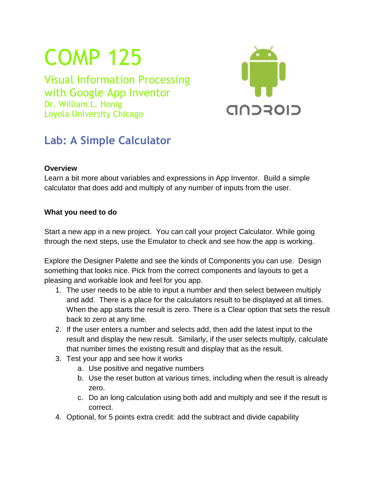# COMP 125

Visual Information Processing with Google App Inventor Dr. William L. Honig Loyola University Chicago



## **Lab: A Simple Calculator**

#### **Overview**

Learn a bit more about variables and expressions in App Inventor. Build a simple calculator that does add and multiply of any number of inputs from the user.

### **What you need to do**

Start a new app in a new project. You can call your project Calculator. While going through the next steps, use the Emulator to check and see how the app is working.

Explore the Designer Palette and see the kinds of Components you can use. Design something that looks nice. Pick from the correct components and layouts to get a pleasing and workable look and feel for you app.

- 1. The user needs to be able to input a number and then select between multiply and add. There is a place for the calculators result to be displayed at all times. When the app starts the result is zero. There is a Clear option that sets the result back to zero at any time.
- 2. If the user enters a number and selects add, then add the latest input to the result and display the new result. Similarly, if the user selects multiply, calculate that number times the existing result and display that as the result.
- 3. Test your app and see how it works
	- a. Use positive and negative numbers
	- b. Use the reset button at various times, including when the result is already zero.
	- c. Do an long calculation using both add and multiply and see if the result is correct.
- 4. Optional, for 5 points extra credit: add the subtract and divide capability